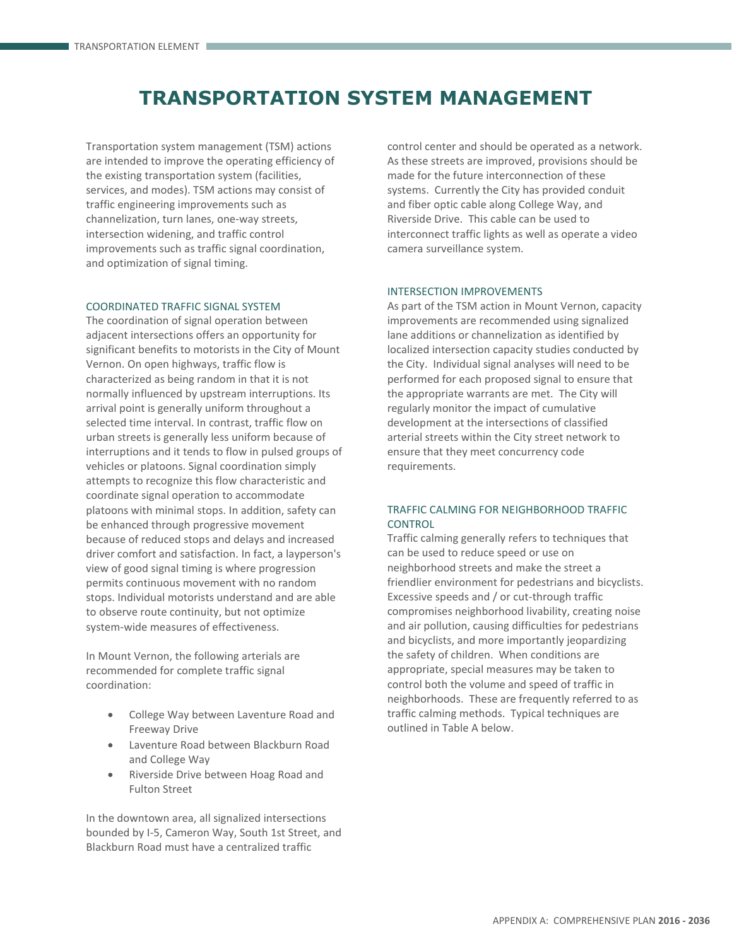# **TRANSPORTATION SYSTEM MANAGEMENT**

Transportation system management (TSM) actions are intended to improve the operating efficiency of the existing transportation system (facilities, services, and modes). TSM actions may consist of traffic engineering improvements such as channelization, turn lanes, one-way streets, intersection widening, and traffic control improvements such as traffic signal coordination, and optimization of signal timing.

#### COORDINATED TRAFFIC SIGNAL SYSTEM

The coordination of signal operation between adjacent intersections offers an opportunity for significant benefits to motorists in the City of Mount Vernon. On open highways, traffic flow is characterized as being random in that it is not normally influenced by upstream interruptions. Its arrival point is generally uniform throughout a selected time interval. In contrast, traffic flow on urban streets is generally less uniform because of interruptions and it tends to flow in pulsed groups of vehicles or platoons. Signal coordination simply attempts to recognize this flow characteristic and coordinate signal operation to accommodate platoons with minimal stops. In addition, safety can be enhanced through progressive movement because of reduced stops and delays and increased driver comfort and satisfaction. In fact, a layperson's view of good signal timing is where progression permits continuous movement with no random stops. Individual motorists understand and are able to observe route continuity, but not optimize system-wide measures of effectiveness.

In Mount Vernon, the following arterials are recommended for complete traffic signal coordination:

- College Way between Laventure Road and Freeway Drive
- Laventure Road between Blackburn Road and College Way
- Riverside Drive between Hoag Road and Fulton Street

In the downtown area, all signalized intersections bounded by I-5, Cameron Way, South 1st Street, and Blackburn Road must have a centralized traffic

control center and should be operated as a network. As these streets are improved, provisions should be made for the future interconnection of these systems. Currently the City has provided conduit and fiber optic cable along College Way, and Riverside Drive. This cable can be used to interconnect traffic lights as well as operate a video camera surveillance system.

## INTERSECTION IMPROVEMENTS

As part of the TSM action in Mount Vernon, capacity improvements are recommended using signalized lane additions or channelization as identified by localized intersection capacity studies conducted by the City. Individual signal analyses will need to be performed for each proposed signal to ensure that the appropriate warrants are met. The City will regularly monitor the impact of cumulative development at the intersections of classified arterial streets within the City street network to ensure that they meet concurrency code requirements.

## TRAFFIC CALMING FOR NEIGHBORHOOD TRAFFIC **CONTROL**

Traffic calming generally refers to techniques that can be used to reduce speed or use on neighborhood streets and make the street a friendlier environment for pedestrians and bicyclists. Excessive speeds and / or cut-through traffic compromises neighborhood livability, creating noise and air pollution, causing difficulties for pedestrians and bicyclists, and more importantly jeopardizing the safety of children. When conditions are appropriate, special measures may be taken to control both the volume and speed of traffic in neighborhoods. These are frequently referred to as traffic calming methods. Typical techniques are outlined in Table A below.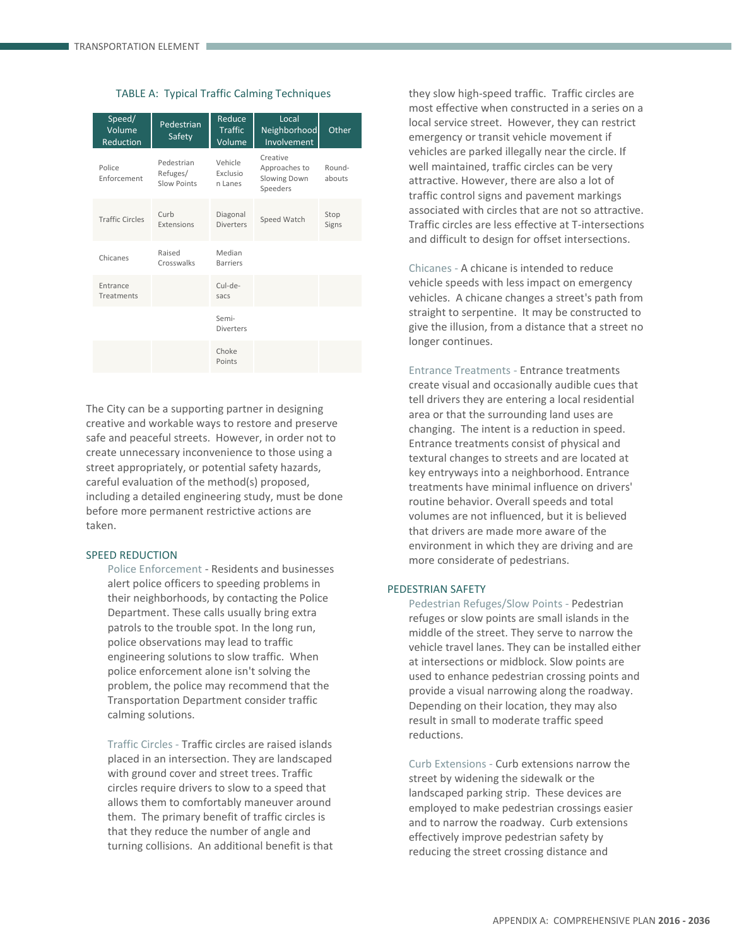|  |  |  |  | TABLE A: Typical Traffic Calming Techniques |
|--|--|--|--|---------------------------------------------|
|--|--|--|--|---------------------------------------------|

| Speed/<br>Volume<br>Reduction | Pedestrian<br>Safety                  | Reduce<br><b>Traffic</b><br>Volume | Local<br>Neighborhood<br>Involvement                  | Other            |
|-------------------------------|---------------------------------------|------------------------------------|-------------------------------------------------------|------------------|
| Police<br>Enforcement         | Pedestrian<br>Refuges/<br>Slow Points | Vehicle<br>Exclusio<br>n Lanes     | Creative<br>Approaches to<br>Slowing Down<br>Speeders | Round-<br>abouts |
| <b>Traffic Circles</b>        | Curb<br>Extensions                    | Diagonal<br><b>Diverters</b>       | Speed Watch                                           | Stop<br>Signs    |
| Chicanes                      | Raised<br>Crosswalks                  | Median<br><b>Barriers</b>          |                                                       |                  |
| Entrance<br>Treatments        |                                       | Cul-de-<br>sacs                    |                                                       |                  |
|                               |                                       | Semi-<br><b>Diverters</b>          |                                                       |                  |
|                               |                                       | Choke<br>Points                    |                                                       |                  |

The City can be a supporting partner in designing creative and workable ways to restore and preserve safe and peaceful streets. However, in order not to create unnecessary inconvenience to those using a street appropriately, or potential safety hazards, careful evaluation of the method(s) proposed, including a detailed engineering study, must be done before more permanent restrictive actions are taken.

#### SPEED REDUCTION

Police Enforcement - Residents and businesses alert police officers to speeding problems in their neighborhoods, by contacting the Police Department. These calls usually bring extra patrols to the trouble spot. In the long run, police observations may lead to traffic engineering solutions to slow traffic. When police enforcement alone isn't solving the problem, the police may recommend that the Transportation Department consider traffic calming solutions.

Traffic Circles - Traffic circles are raised islands placed in an intersection. They are landscaped with ground cover and street trees. Traffic circles require drivers to slow to a speed that allows them to comfortably maneuver around them. The primary benefit of traffic circles is that they reduce the number of angle and turning collisions. An additional benefit is that

they slow high-speed traffic. Traffic circles are most effective when constructed in a series on a local service street. However, they can restrict emergency or transit vehicle movement if vehicles are parked illegally near the circle. If well maintained, traffic circles can be very attractive. However, there are also a lot of traffic control signs and pavement markings associated with circles that are not so attractive. Traffic circles are less effective at T-intersections and difficult to design for offset intersections.

Chicanes - A chicane is intended to reduce vehicle speeds with less impact on emergency vehicles. A chicane changes a street's path from straight to serpentine. It may be constructed to give the illusion, from a distance that a street no longer continues.

Entrance Treatments - Entrance treatments create visual and occasionally audible cues that tell drivers they are entering a local residential area or that the surrounding land uses are changing. The intent is a reduction in speed. Entrance treatments consist of physical and textural changes to streets and are located at key entryways into a neighborhood. Entrance treatments have minimal influence on drivers' routine behavior. Overall speeds and total volumes are not influenced, but it is believed that drivers are made more aware of the environment in which they are driving and are more considerate of pedestrians.

### PEDESTRIAN SAFETY

Pedestrian Refuges/Slow Points - Pedestrian refuges or slow points are small islands in the middle of the street. They serve to narrow the vehicle travel lanes. They can be installed either at intersections or midblock. Slow points are used to enhance pedestrian crossing points and provide a visual narrowing along the roadway. Depending on their location, they may also result in small to moderate traffic speed reductions.

Curb Extensions - Curb extensions narrow the street by widening the sidewalk or the landscaped parking strip. These devices are employed to make pedestrian crossings easier and to narrow the roadway. Curb extensions effectively improve pedestrian safety by reducing the street crossing distance and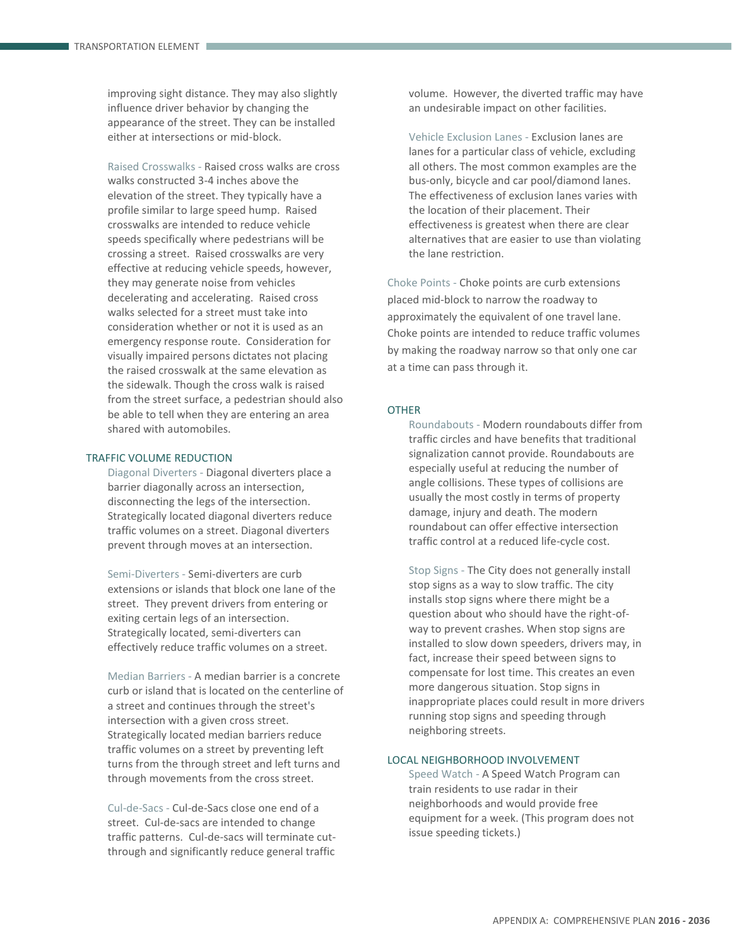improving sight distance. They may also slightly influence driver behavior by changing the appearance of the street. They can be installed either at intersections or mid-block.

Raised Crosswalks - Raised cross walks are cross walks constructed 3-4 inches above the elevation of the street. They typically have a profile similar to large speed hump. Raised crosswalks are intended to reduce vehicle speeds specifically where pedestrians will be crossing a street. Raised crosswalks are very effective at reducing vehicle speeds, however, they may generate noise from vehicles decelerating and accelerating. Raised cross walks selected for a street must take into consideration whether or not it is used as an emergency response route. Consideration for visually impaired persons dictates not placing the raised crosswalk at the same elevation as the sidewalk. Though the cross walk is raised from the street surface, a pedestrian should also be able to tell when they are entering an area shared with automobiles.

## TRAFFIC VOLUME REDUCTION

Diagonal Diverters - Diagonal diverters place a barrier diagonally across an intersection, disconnecting the legs of the intersection. Strategically located diagonal diverters reduce traffic volumes on a street. Diagonal diverters prevent through moves at an intersection.

Semi-Diverters - Semi-diverters are curb extensions or islands that block one lane of the street. They prevent drivers from entering or exiting certain legs of an intersection. Strategically located, semi-diverters can effectively reduce traffic volumes on a street.

Median Barriers - A median barrier is a concrete curb or island that is located on the centerline of a street and continues through the street's intersection with a given cross street. Strategically located median barriers reduce traffic volumes on a street by preventing left turns from the through street and left turns and through movements from the cross street.

Cul-de-Sacs - Cul-de-Sacs close one end of a street. Cul-de-sacs are intended to change traffic patterns. Cul-de-sacs will terminate cutthrough and significantly reduce general traffic

volume. However, the diverted traffic may have an undesirable impact on other facilities.

Vehicle Exclusion Lanes - Exclusion lanes are lanes for a particular class of vehicle, excluding all others. The most common examples are the bus-only, bicycle and car pool/diamond lanes. The effectiveness of exclusion lanes varies with the location of their placement. Their effectiveness is greatest when there are clear alternatives that are easier to use than violating the lane restriction.

Choke Points - Choke points are curb extensions placed mid-block to narrow the roadway to approximately the equivalent of one travel lane. Choke points are intended to reduce traffic volumes by making the roadway narrow so that only one car at a time can pass through it.

#### **OTHER**

Roundabouts - Modern roundabouts differ from traffic circles and have benefits that traditional signalization cannot provide. Roundabouts are especially useful at reducing the number of angle collisions. These types of collisions are usually the most costly in terms of property damage, injury and death. The modern roundabout can offer effective intersection traffic control at a reduced life-cycle cost.

Stop Signs - The City does not generally install stop signs as a way to slow traffic. The city installs stop signs where there might be a question about who should have the right-ofway to prevent crashes. When stop signs are installed to slow down speeders, drivers may, in fact, increase their speed between signs to compensate for lost time. This creates an even more dangerous situation. Stop signs in inappropriate places could result in more drivers running stop signs and speeding through neighboring streets.

## LOCAL NEIGHBORHOOD INVOLVEMENT

Speed Watch - A Speed Watch Program can train residents to use radar in their neighborhoods and would provide free equipment for a week. (This program does not issue speeding tickets.)